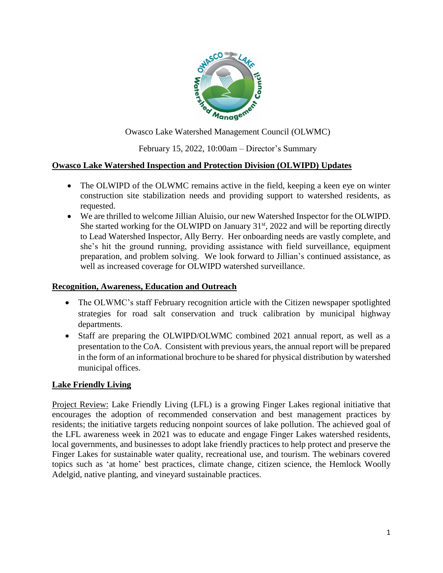

Owasco Lake Watershed Management Council (OLWMC)

February 15, 2022, 10:00am – Director's Summary

### **Owasco Lake Watershed Inspection and Protection Division (OLWIPD) Updates**

- The OLWIPD of the OLWMC remains active in the field, keeping a keen eye on winter construction site stabilization needs and providing support to watershed residents, as requested.
- We are thrilled to welcome Jillian Aluisio, our new Watershed Inspector for the OLWIPD. She started working for the OLWIPD on January  $31<sup>st</sup>$ , 2022 and will be reporting directly to Lead Watershed Inspector, Ally Berry. Her onboarding needs are vastly complete, and she's hit the ground running, providing assistance with field surveillance, equipment preparation, and problem solving. We look forward to Jillian's continued assistance, as well as increased coverage for OLWIPD watershed surveillance.

#### **Recognition, Awareness, Education and Outreach**

- The OLWMC's staff February recognition article with the Citizen newspaper spotlighted strategies for road salt conservation and truck calibration by municipal highway departments.
- Staff are preparing the OLWIPD/OLWMC combined 2021 annual report, as well as a presentation to the CoA. Consistent with previous years, the annual report will be prepared in the form of an informational brochure to be shared for physical distribution by watershed municipal offices.

### **Lake Friendly Living**

Project Review: Lake Friendly Living (LFL) is a growing Finger Lakes regional initiative that encourages the adoption of recommended conservation and best management practices by residents; the initiative targets reducing nonpoint sources of lake pollution. The achieved goal of the LFL awareness week in 2021 was to educate and engage Finger Lakes watershed residents, local governments, and businesses to adopt lake friendly practices to help protect and preserve the Finger Lakes for sustainable water quality, recreational use, and tourism. The webinars covered topics such as 'at home' best practices, climate change, citizen science, the Hemlock Woolly Adelgid, native planting, and vineyard sustainable practices.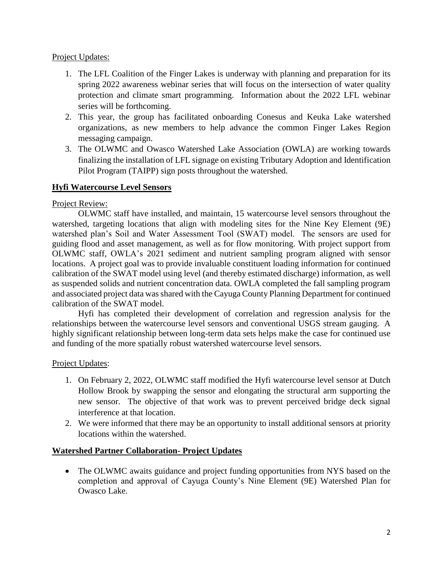Project Updates:

- 1. The LFL Coalition of the Finger Lakes is underway with planning and preparation for its spring 2022 awareness webinar series that will focus on the intersection of water quality protection and climate smart programming. Information about the 2022 LFL webinar series will be forthcoming.
- 2. This year, the group has facilitated onboarding Conesus and Keuka Lake watershed organizations, as new members to help advance the common Finger Lakes Region messaging campaign.
- 3. The OLWMC and Owasco Watershed Lake Association (OWLA) are working towards finalizing the installation of LFL signage on existing Tributary Adoption and Identification Pilot Program (TAIPP) sign posts throughout the watershed.

## **Hyfi Watercourse Level Sensors**

### Project Review:

OLWMC staff have installed, and maintain, 15 watercourse level sensors throughout the watershed, targeting locations that align with modeling sites for the Nine Key Element (9E) watershed plan's Soil and Water Assessment Tool (SWAT) model. The sensors are used for guiding flood and asset management, as well as for flow monitoring. With project support from OLWMC staff, OWLA's 2021 sediment and nutrient sampling program aligned with sensor locations. A project goal was to provide invaluable constituent loading information for continued calibration of the SWAT model using level (and thereby estimated discharge) information, as well as suspended solids and nutrient concentration data. OWLA completed the fall sampling program and associated project data was shared with the Cayuga County Planning Department for continued calibration of the SWAT model.

Hyfi has completed their development of correlation and regression analysis for the relationships between the watercourse level sensors and conventional USGS stream gauging. A highly significant relationship between long-term data sets helps make the case for continued use and funding of the more spatially robust watershed watercourse level sensors.

### Project Updates:

- 1. On February 2, 2022, OLWMC staff modified the Hyfi watercourse level sensor at Dutch Hollow Brook by swapping the sensor and elongating the structural arm supporting the new sensor. The objective of that work was to prevent perceived bridge deck signal interference at that location.
- 2. We were informed that there may be an opportunity to install additional sensors at priority locations within the watershed.

### **Watershed Partner Collaboration- Project Updates**

 The OLWMC awaits guidance and project funding opportunities from NYS based on the completion and approval of Cayuga County's Nine Element (9E) Watershed Plan for Owasco Lake.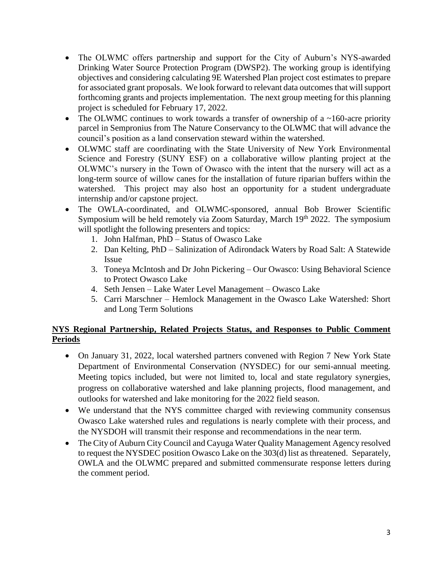- The OLWMC offers partnership and support for the City of Auburn's NYS-awarded Drinking Water Source Protection Program (DWSP2). The working group is identifying objectives and considering calculating 9E Watershed Plan project cost estimates to prepare for associated grant proposals. We look forward to relevant data outcomes that will support forthcoming grants and projects implementation. The next group meeting for this planning project is scheduled for February 17, 2022.
- The OLWMC continues to work towards a transfer of ownership of a  $\sim$ 160-acre priority parcel in Sempronius from The Nature Conservancy to the OLWMC that will advance the council's position as a land conservation steward within the watershed.
- OLWMC staff are coordinating with the State University of New York Environmental Science and Forestry (SUNY ESF) on a collaborative willow planting project at the OLWMC's nursery in the Town of Owasco with the intent that the nursery will act as a long-term source of willow canes for the installation of future riparian buffers within the watershed. This project may also host an opportunity for a student undergraduate internship and/or capstone project.
- The OWLA-coordinated, and OLWMC-sponsored, annual Bob Brower Scientific Symposium will be held remotely via Zoom Saturday, March 19<sup>th</sup> 2022. The symposium will spotlight the following presenters and topics:
	- 1. John Halfman, PhD Status of Owasco Lake
	- 2. Dan Kelting, PhD Salinization of Adirondack Waters by Road Salt: A Statewide Issue
	- 3. Toneya McIntosh and Dr John Pickering Our Owasco: Using Behavioral Science to Protect Owasco Lake
	- 4. Seth Jensen Lake Water Level Management Owasco Lake
	- 5. Carri Marschner Hemlock Management in the Owasco Lake Watershed: Short and Long Term Solutions

# **NYS Regional Partnership, Related Projects Status, and Responses to Public Comment Periods**

- On January 31, 2022, local watershed partners convened with Region 7 New York State Department of Environmental Conservation (NYSDEC) for our semi-annual meeting. Meeting topics included, but were not limited to, local and state regulatory synergies, progress on collaborative watershed and lake planning projects, flood management, and outlooks for watershed and lake monitoring for the 2022 field season.
- We understand that the NYS committee charged with reviewing community consensus Owasco Lake watershed rules and regulations is nearly complete with their process, and the NYSDOH will transmit their response and recommendations in the near term.
- The City of Auburn City Council and Cayuga Water Quality Management Agency resolved to request the NYSDEC position Owasco Lake on the 303(d) list as threatened. Separately, OWLA and the OLWMC prepared and submitted commensurate response letters during the comment period.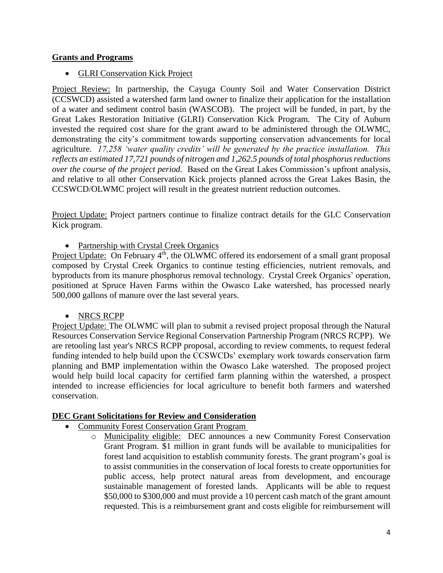### **Grants and Programs**

• GLRI Conservation Kick Project

Project Review: In partnership, the Cayuga County Soil and Water Conservation District (CCSWCD) assisted a watershed farm land owner to finalize their application for the installation of a water and sediment control basin (WASCOB). The project will be funded, in part, by the Great Lakes Restoration Initiative (GLRI) Conservation Kick Program. The City of Auburn invested the required cost share for the grant award to be administered through the OLWMC, demonstrating the city's commitment towards supporting conservation advancements for local agriculture. *17,258 'water quality credits' will be generated by the practice installation. This reflects an estimated 17,721 pounds of nitrogen and 1,262.5 pounds of total phosphorus reductions over the course of the project period.* Based on the Great Lakes Commission's upfront analysis, and relative to all other Conservation Kick projects planned across the Great Lakes Basin, the CCSWCD/OLWMC project will result in the greatest nutrient reduction outcomes.

Project Update: Project partners continue to finalize contract details for the GLC Conservation Kick program.

• Partnership with Crystal Creek Organics

Project Update: On February 4<sup>th</sup>, the OLWMC offered its endorsement of a small grant proposal composed by Crystal Creek Organics to continue testing efficiencies, nutrient removals, and byproducts from its manure phosphorus removal technology. Crystal Creek Organics' operation, positioned at Spruce Haven Farms within the Owasco Lake watershed, has processed nearly 500,000 gallons of manure over the last several years.

• NRCS RCPP

Project Update: The OLWMC will plan to submit a revised project proposal through the Natural Resources Conservation Service Regional Conservation Partnership Program (NRCS RCPP). We are retooling last year's NRCS RCPP proposal, according to review comments, to request federal funding intended to help build upon the CCSWCDs' exemplary work towards conservation farm planning and BMP implementation within the Owasco Lake watershed. The proposed project would help build local capacity for certified farm planning within the watershed, a prospect intended to increase efficiencies for local agriculture to benefit both farmers and watershed conservation.

### **DEC Grant Solicitations for Review and Consideration**

- Community Forest Conservation Grant Program
	- o Municipality eligible: DEC announces a new Community Forest Conservation Grant Program. \$1 million in grant funds will be available to municipalities for forest land acquisition to establish community forests. The grant program's goal is to assist communities in the conservation of local forests to create opportunities for public access, help protect natural areas from development, and encourage sustainable management of forested lands. Applicants will be able to request \$50,000 to \$300,000 and must provide a 10 percent cash match of the grant amount requested. This is a reimbursement grant and costs eligible for reimbursement will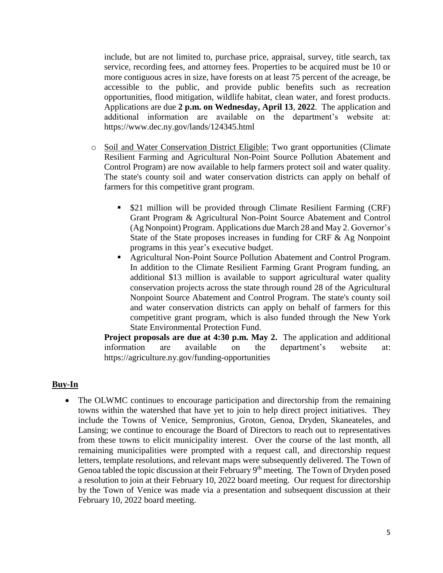include, but are not limited to, purchase price, appraisal, survey, title search, tax service, recording fees, and attorney fees. Properties to be acquired must be 10 or more contiguous acres in size, have forests on at least 75 percent of the acreage, be accessible to the public, and provide public benefits such as recreation opportunities, flood mitigation, wildlife habitat, clean water, and forest products. Applications are due **2 p.m. on Wednesday, April 13**, **2022**. The application and additional information are available on the department's website at: https://www.dec.ny.gov/lands/124345.html

- o Soil and Water Conservation District Eligible: Two grant opportunities (Climate Resilient Farming and Agricultural Non-Point Source Pollution Abatement and Control Program) are now available to help farmers protect soil and water quality. The state's county soil and water conservation districts can apply on behalf of farmers for this competitive grant program.
	- \$21 million will be provided through Climate Resilient Farming (CRF) Grant Program & Agricultural Non-Point Source Abatement and Control (Ag Nonpoint) Program. Applications due March 28 and May 2. Governor's State of the State proposes increases in funding for CRF & Ag Nonpoint programs in this year's executive budget.
	- Agricultural Non-Point Source Pollution Abatement and Control Program. In addition to the Climate Resilient Farming Grant Program funding, an additional \$13 million is available to support agricultural water quality conservation projects across the state through round 28 of the Agricultural Nonpoint Source Abatement and Control Program. The state's county soil and water conservation districts can apply on behalf of farmers for this competitive grant program, which is also funded through the New York State Environmental Protection Fund.

**Project proposals are due at 4:30 p.m. May 2.** The application and additional information are available on the department's website at: https://agriculture.ny.gov/funding-opportunities

#### **Buy-In**

• The OLWMC continues to encourage participation and directorship from the remaining towns within the watershed that have yet to join to help direct project initiatives. They include the Towns of Venice, Sempronius, Groton, Genoa, Dryden, Skaneateles, and Lansing; we continue to encourage the Board of Directors to reach out to representatives from these towns to elicit municipality interest. Over the course of the last month, all remaining municipalities were prompted with a request call, and directorship request letters, template resolutions, and relevant maps were subsequently delivered. The Town of Genoa tabled the topic discussion at their February 9<sup>th</sup> meeting. The Town of Dryden posed a resolution to join at their February 10, 2022 board meeting. Our request for directorship by the Town of Venice was made via a presentation and subsequent discussion at their February 10, 2022 board meeting.